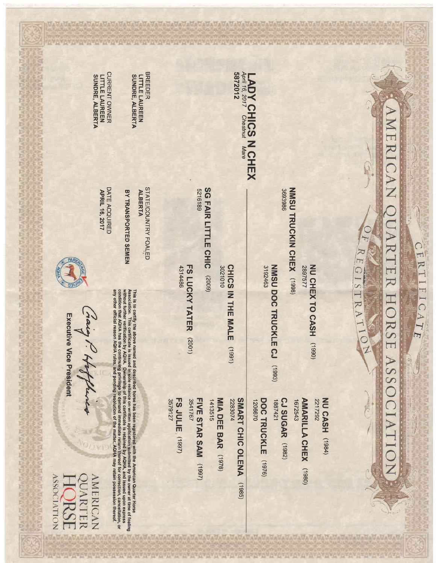